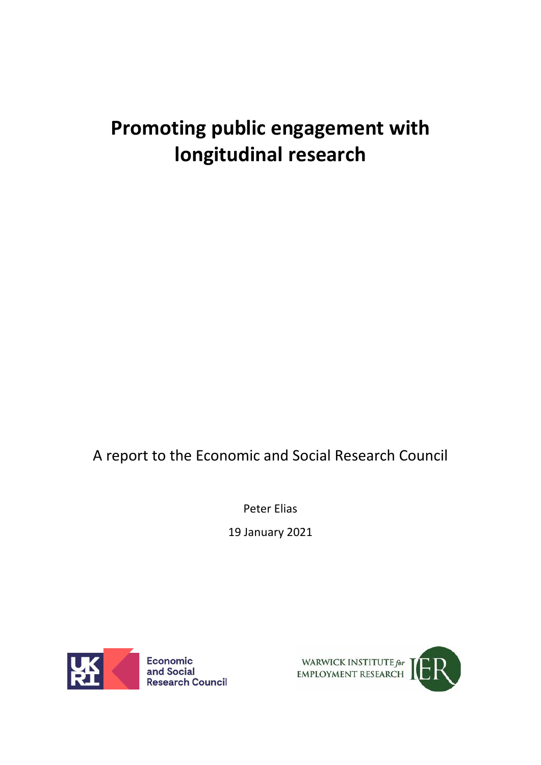# **Promoting public engagement with longitudinal research**

A report to the Economic and Social Research Council

Peter Elias 19 January 2021



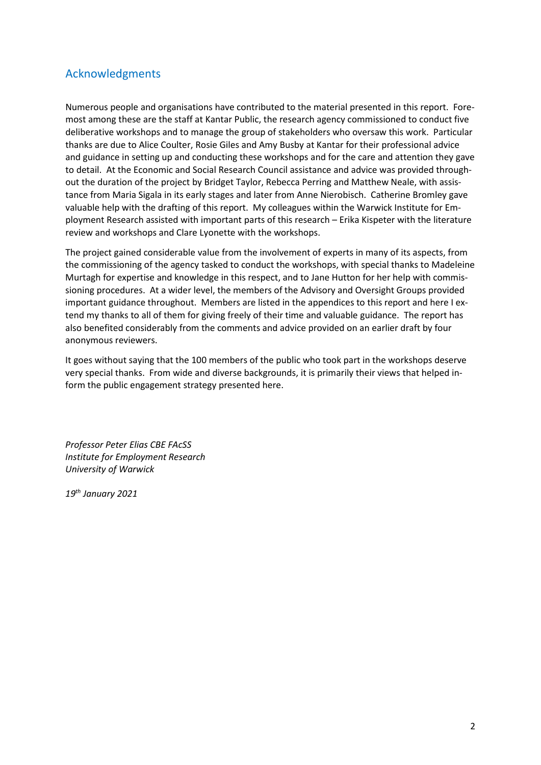### Acknowledgments

Numerous people and organisations have contributed to the material presented in this report. Foremost among these are the staff at Kantar Public, the research agency commissioned to conduct five deliberative workshops and to manage the group of stakeholders who oversaw this work. Particular thanks are due to Alice Coulter, Rosie Giles and Amy Busby at Kantar for their professional advice and guidance in setting up and conducting these workshops and for the care and attention they gave to detail. At the Economic and Social Research Council assistance and advice was provided throughout the duration of the project by Bridget Taylor, Rebecca Perring and Matthew Neale, with assistance from Maria Sigala in its early stages and later from Anne Nierobisch. Catherine Bromley gave valuable help with the drafting of this report. My colleagues within the Warwick Institute for Employment Research assisted with important parts of this research – Erika Kispeter with the literature review and workshops and Clare Lyonette with the workshops.

The project gained considerable value from the involvement of experts in many of its aspects, from the commissioning of the agency tasked to conduct the workshops, with special thanks to Madeleine Murtagh for expertise and knowledge in this respect, and to Jane Hutton for her help with commissioning procedures. At a wider level, the members of the Advisory and Oversight Groups provided important guidance throughout. Members are listed in the appendices to this report and here I extend my thanks to all of them for giving freely of their time and valuable guidance. The report has also benefited considerably from the comments and advice provided on an earlier draft by four anonymous reviewers.

It goes without saying that the 100 members of the public who took part in the workshops deserve very special thanks. From wide and diverse backgrounds, it is primarily their views that helped inform the public engagement strategy presented here.

*Professor Peter Elias CBE FAcSS Institute for Employment Research University of Warwick*

*19th January 2021*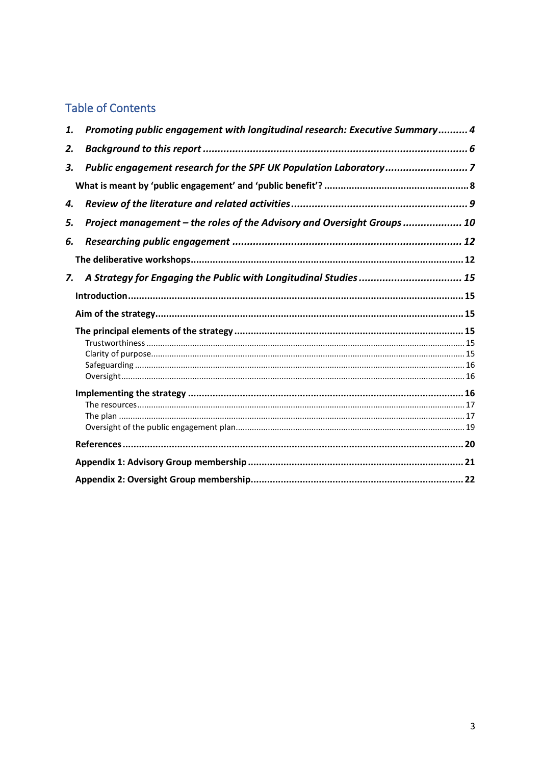# **Table of Contents**

| 1. | Promoting public engagement with longitudinal research: Executive Summary 4 |  |
|----|-----------------------------------------------------------------------------|--|
| 2. |                                                                             |  |
| 3. | Public engagement research for the SPF UK Population Laboratory7            |  |
|    |                                                                             |  |
| 4. |                                                                             |  |
| 5. | Project management - the roles of the Advisory and Oversight Groups 10      |  |
| 6. |                                                                             |  |
|    |                                                                             |  |
| 7. | A Strategy for Engaging the Public with Longitudinal Studies  15            |  |
|    |                                                                             |  |
|    |                                                                             |  |
|    |                                                                             |  |
|    |                                                                             |  |
|    |                                                                             |  |
|    |                                                                             |  |
|    |                                                                             |  |
|    |                                                                             |  |
|    |                                                                             |  |
|    |                                                                             |  |
|    |                                                                             |  |
|    |                                                                             |  |
|    |                                                                             |  |
|    |                                                                             |  |
|    |                                                                             |  |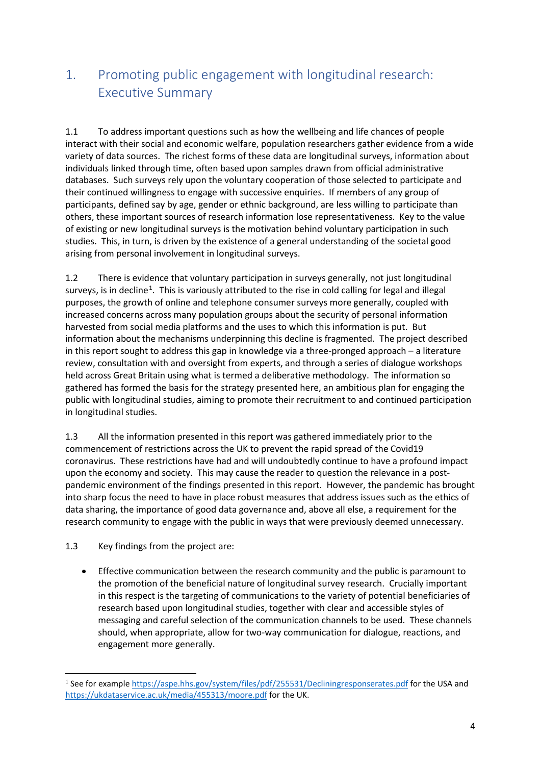### <span id="page-3-0"></span>1. Promoting public engagement with longitudinal research: Executive Summary

1.1 To address important questions such as how the wellbeing and life chances of people interact with their social and economic welfare, population researchers gather evidence from a wide variety of data sources. The richest forms of these data are longitudinal surveys, information about individuals linked through time, often based upon samples drawn from official administrative databases. Such surveys rely upon the voluntary cooperation of those selected to participate and their continued willingness to engage with successive enquiries. If members of any group of participants, defined say by age, gender or ethnic background, are less willing to participate than others, these important sources of research information lose representativeness. Key to the value of existing or new longitudinal surveys is the motivation behind voluntary participation in such studies. This, in turn, is driven by the existence of a general understanding of the societal good arising from personal involvement in longitudinal surveys.

1.2 There is evidence that voluntary participation in surveys generally, not just longitudinal surveys, is in decline<sup>[1](#page-3-1)</sup>. This is variously attributed to the rise in cold calling for legal and illegal purposes, the growth of online and telephone consumer surveys more generally, coupled with increased concerns across many population groups about the security of personal information harvested from social media platforms and the uses to which this information is put. But information about the mechanisms underpinning this decline is fragmented. The project described in this report sought to address this gap in knowledge via a three-pronged approach – a literature review, consultation with and oversight from experts, and through a series of dialogue workshops held across Great Britain using what is termed a deliberative methodology. The information so gathered has formed the basis for the strategy presented here, an ambitious plan for engaging the public with longitudinal studies, aiming to promote their recruitment to and continued participation in longitudinal studies.

1.3 All the information presented in this report was gathered immediately prior to the commencement of restrictions across the UK to prevent the rapid spread of the Covid19 coronavirus. These restrictions have had and will undoubtedly continue to have a profound impact upon the economy and society. This may cause the reader to question the relevance in a postpandemic environment of the findings presented in this report. However, the pandemic has brought into sharp focus the need to have in place robust measures that address issues such as the ethics of data sharing, the importance of good data governance and, above all else, a requirement for the research community to engage with the public in ways that were previously deemed unnecessary.

#### 1.3 Key findings from the project are:

• Effective communication between the research community and the public is paramount to the promotion of the beneficial nature of longitudinal survey research. Crucially important in this respect is the targeting of communications to the variety of potential beneficiaries of research based upon longitudinal studies, together with clear and accessible styles of messaging and careful selection of the communication channels to be used. These channels should, when appropriate, allow for two-way communication for dialogue, reactions, and engagement more generally.

<span id="page-3-1"></span><sup>1</sup> See for example<https://aspe.hhs.gov/system/files/pdf/255531/Decliningresponserates.pdf> for the USA and <https://ukdataservice.ac.uk/media/455313/moore.pdf> for the UK.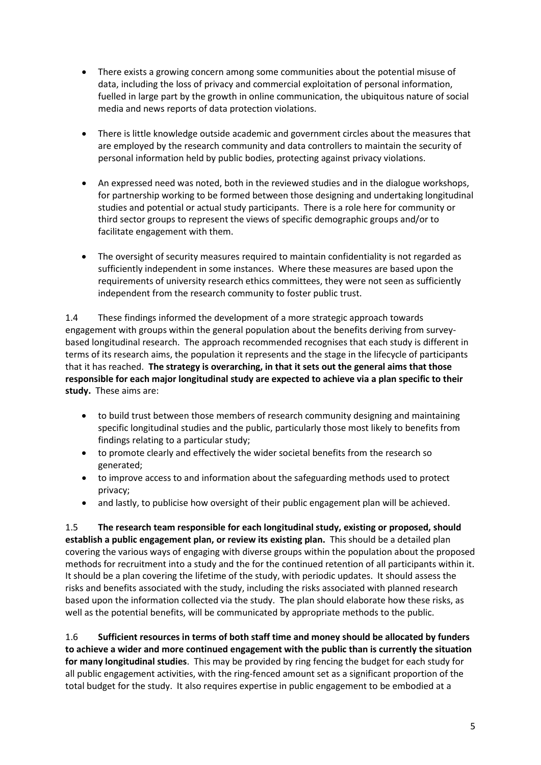- There exists a growing concern among some communities about the potential misuse of data, including the loss of privacy and commercial exploitation of personal information, fuelled in large part by the growth in online communication, the ubiquitous nature of social media and news reports of data protection violations.
- There is little knowledge outside academic and government circles about the measures that are employed by the research community and data controllers to maintain the security of personal information held by public bodies, protecting against privacy violations.
- An expressed need was noted, both in the reviewed studies and in the dialogue workshops, for partnership working to be formed between those designing and undertaking longitudinal studies and potential or actual study participants. There is a role here for community or third sector groups to represent the views of specific demographic groups and/or to facilitate engagement with them.
- The oversight of security measures required to maintain confidentiality is not regarded as sufficiently independent in some instances. Where these measures are based upon the requirements of university research ethics committees, they were not seen as sufficiently independent from the research community to foster public trust.

1.4 These findings informed the development of a more strategic approach towards engagement with groups within the general population about the benefits deriving from surveybased longitudinal research. The approach recommended recognises that each study is different in terms of its research aims, the population it represents and the stage in the lifecycle of participants that it has reached. **The strategy is overarching, in that it sets out the general aims that those responsible for each major longitudinal study are expected to achieve via a plan specific to their study.** These aims are:

- to build trust between those members of research community designing and maintaining specific longitudinal studies and the public, particularly those most likely to benefits from findings relating to a particular study;
- to promote clearly and effectively the wider societal benefits from the research so generated;
- to improve access to and information about the safeguarding methods used to protect privacy;
- and lastly, to publicise how oversight of their public engagement plan will be achieved.

1.5 **The research team responsible for each longitudinal study, existing or proposed, should establish a public engagement plan, or review its existing plan.** This should be a detailed plan covering the various ways of engaging with diverse groups within the population about the proposed methods for recruitment into a study and the for the continued retention of all participants within it. It should be a plan covering the lifetime of the study, with periodic updates. It should assess the risks and benefits associated with the study, including the risks associated with planned research based upon the information collected via the study. The plan should elaborate how these risks, as well as the potential benefits, will be communicated by appropriate methods to the public.

1.6 **Sufficient resources in terms of both staff time and money should be allocated by funders to achieve a wider and more continued engagement with the public than is currently the situation for many longitudinal studies**. This may be provided by ring fencing the budget for each study for all public engagement activities, with the ring-fenced amount set as a significant proportion of the total budget for the study. It also requires expertise in public engagement to be embodied at a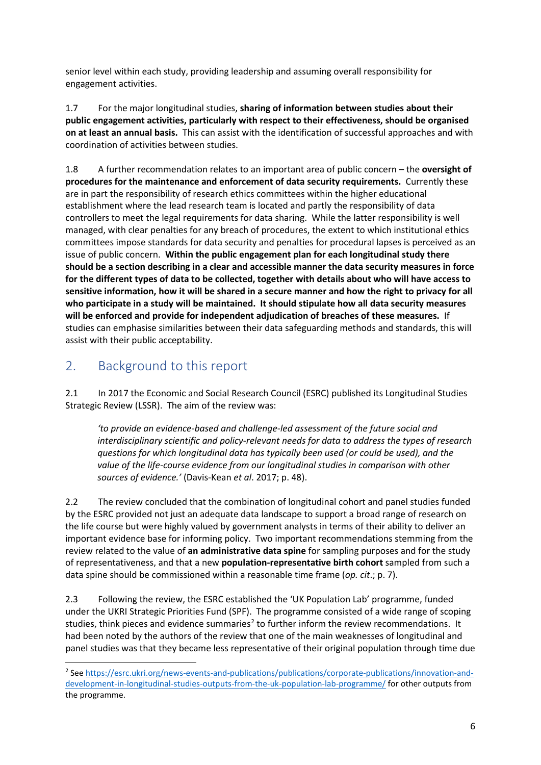senior level within each study, providing leadership and assuming overall responsibility for engagement activities.

1.7 For the major longitudinal studies, **sharing of information between studies about their public engagement activities, particularly with respect to their effectiveness, should be organised on at least an annual basis.** This can assist with the identification of successful approaches and with coordination of activities between studies.

1.8 A further recommendation relates to an important area of public concern – the **oversight of procedures for the maintenance and enforcement of data security requirements.** Currently these are in part the responsibility of research ethics committees within the higher educational establishment where the lead research team is located and partly the responsibility of data controllers to meet the legal requirements for data sharing. While the latter responsibility is well managed, with clear penalties for any breach of procedures, the extent to which institutional ethics committees impose standards for data security and penalties for procedural lapses is perceived as an issue of public concern. **Within the public engagement plan for each longitudinal study there should be a section describing in a clear and accessible manner the data security measures in force for the different types of data to be collected, together with details about who will have access to sensitive information, how it will be shared in a secure manner and how the right to privacy for all who participate in a study will be maintained. It should stipulate how all data security measures will be enforced and provide for independent adjudication of breaches of these measures.** If studies can emphasise similarities between their data safeguarding methods and standards, this will assist with their public acceptability.

### <span id="page-5-0"></span>2. Background to this report

2.1 In 2017 the Economic and Social Research Council (ESRC) published its Longitudinal Studies Strategic Review (LSSR). The aim of the review was:

*'to provide an evidence-based and challenge-led assessment of the future social and interdisciplinary scientific and policy-relevant needs for data to address the types of research questions for which longitudinal data has typically been used (or could be used), and the value of the life-course evidence from our longitudinal studies in comparison with other sources of evidence.'* (Davis-Kean *et al*. 2017; p. 48).

2.2 The review concluded that the combination of longitudinal cohort and panel studies funded by the ESRC provided not just an adequate data landscape to support a broad range of research on the life course but were highly valued by government analysts in terms of their ability to deliver an important evidence base for informing policy. Two important recommendations stemming from the review related to the value of **an administrative data spine** for sampling purposes and for the study of representativeness, and that a new **population-representative birth cohort** sampled from such a data spine should be commissioned within a reasonable time frame (*op. cit*.; p. 7).

2.3 Following the review, the ESRC established the 'UK Population Lab' programme, funded under the UKRI Strategic Priorities Fund (SPF). The programme consisted of a wide range of scoping studies, think pieces and evidence summaries<sup>2</sup> to further inform the review recommendations. It had been noted by the authors of the review that one of the main weaknesses of longitudinal and panel studies was that they became less representative of their original population through time due

<span id="page-5-1"></span><sup>2</sup> See [https://esrc.ukri.org/news-events-and-publications/publications/corporate-publications/innovation-and](https://esrc.ukri.org/news-events-and-publications/publications/corporate-publications/innovation-and-development-in-longitudinal-studies-outputs-from-the-uk-population-lab-programme/)[development-in-longitudinal-studies-outputs-from-the-uk-population-lab-programme/](https://esrc.ukri.org/news-events-and-publications/publications/corporate-publications/innovation-and-development-in-longitudinal-studies-outputs-from-the-uk-population-lab-programme/) for other outputs from the programme.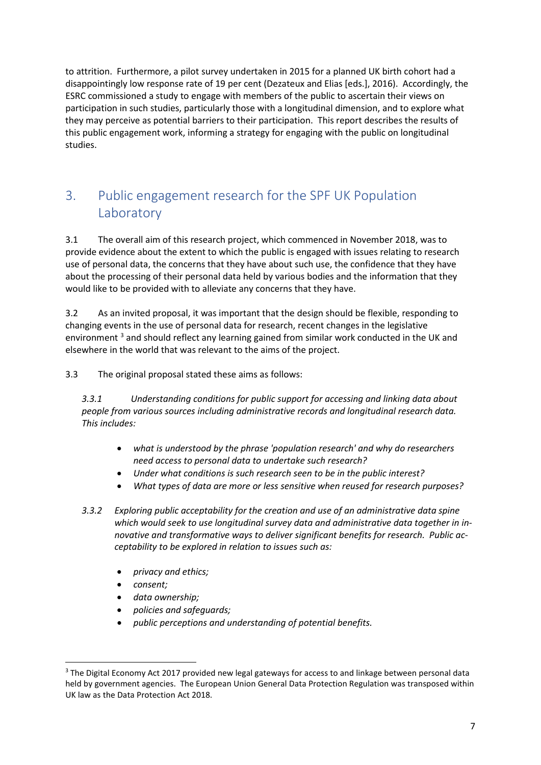to attrition. Furthermore, a pilot survey undertaken in 2015 for a planned UK birth cohort had a disappointingly low response rate of 19 per cent (Dezateux and Elias [eds.], 2016). Accordingly, the ESRC commissioned a study to engage with members of the public to ascertain their views on participation in such studies, particularly those with a longitudinal dimension, and to explore what they may perceive as potential barriers to their participation. This report describes the results of this public engagement work, informing a strategy for engaging with the public on longitudinal studies.

# <span id="page-6-0"></span>3. Public engagement research for the SPF UK Population **Laboratory**

3.1 The overall aim of this research project, which commenced in November 2018, was to provide evidence about the extent to which the public is engaged with issues relating to research use of personal data, the concerns that they have about such use, the confidence that they have about the processing of their personal data held by various bodies and the information that they would like to be provided with to alleviate any concerns that they have.

3.2 As an invited proposal, it was important that the design should be flexible, responding to changing events in the use of personal data for research, recent changes in the legislative environment<sup>[3](#page-6-1)</sup> and should reflect any learning gained from similar work conducted in the UK and elsewhere in the world that was relevant to the aims of the project.

3.3 The original proposal stated these aims as follows:

*3.3.1 Understanding conditions for public support for accessing and linking data about people from various sources including administrative records and longitudinal research data. This includes:*

- *what is understood by the phrase 'population research' and why do researchers need access to personal data to undertake such research?*
- *Under what conditions is such research seen to be in the public interest?*
- *What types of data are more or less sensitive when reused for research purposes?*
- *3.3.2 Exploring public acceptability for the creation and use of an administrative data spine which would seek to use longitudinal survey data and administrative data together in innovative and transformative ways to deliver significant benefits for research. Public acceptability to be explored in relation to issues such as:*
	- *privacy and ethics;*
	- *consent;*
	- *data ownership;*
	- *policies and safeguards;*
	- *public perceptions and understanding of potential benefits.*

<span id="page-6-1"></span><sup>&</sup>lt;sup>3</sup> The Digital Economy Act 2017 provided new legal gateways for access to and linkage between personal data held by government agencies. The European Union General Data Protection Regulation was transposed within UK law as the Data Protection Act 2018.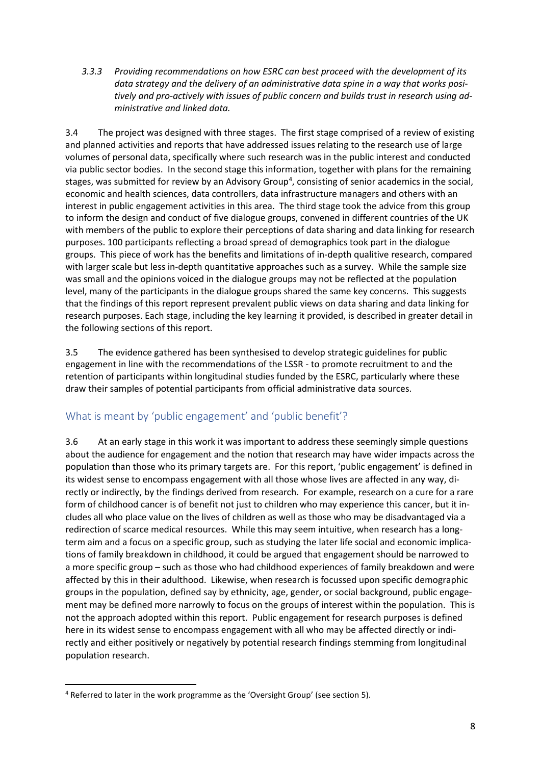*3.3.3 Providing recommendations on how ESRC can best proceed with the development of its data strategy and the delivery of an administrative data spine in a way that works positively and pro-actively with issues of public concern and builds trust in research using administrative and linked data.* 

3.4 The project was designed with three stages. The first stage comprised of a review of existing and planned activities and reports that have addressed issues relating to the research use of large volumes of personal data, specifically where such research was in the public interest and conducted via public sector bodies. In the second stage this information, together with plans for the remaining stages, was submitted for review by an Advisory Group<sup>[4](#page-7-1)</sup>, consisting of senior academics in the social, economic and health sciences, data controllers, data infrastructure managers and others with an interest in public engagement activities in this area. The third stage took the advice from this group to inform the design and conduct of five dialogue groups, convened in different countries of the UK with members of the public to explore their perceptions of data sharing and data linking for research purposes. 100 participants reflecting a broad spread of demographics took part in the dialogue groups. This piece of work has the benefits and limitations of in-depth qualitive research, compared with larger scale but less in-depth quantitative approaches such as a survey. While the sample size was small and the opinions voiced in the dialogue groups may not be reflected at the population level, many of the participants in the dialogue groups shared the same key concerns. This suggests that the findings of this report represent prevalent public views on data sharing and data linking for research purposes. Each stage, including the key learning it provided, is described in greater detail in the following sections of this report.

3.5 The evidence gathered has been synthesised to develop strategic guidelines for public engagement in line with the recommendations of the LSSR - to promote recruitment to and the retention of participants within longitudinal studies funded by the ESRC, particularly where these draw their samples of potential participants from official administrative data sources.

#### <span id="page-7-0"></span>What is meant by 'public engagement' and 'public benefit'?

3.6 At an early stage in this work it was important to address these seemingly simple questions about the audience for engagement and the notion that research may have wider impacts across the population than those who its primary targets are. For this report, 'public engagement' is defined in its widest sense to encompass engagement with all those whose lives are affected in any way, directly or indirectly, by the findings derived from research. For example, research on a cure for a rare form of childhood cancer is of benefit not just to children who may experience this cancer, but it includes all who place value on the lives of children as well as those who may be disadvantaged via a redirection of scarce medical resources. While this may seem intuitive, when research has a longterm aim and a focus on a specific group, such as studying the later life social and economic implications of family breakdown in childhood, it could be argued that engagement should be narrowed to a more specific group – such as those who had childhood experiences of family breakdown and were affected by this in their adulthood. Likewise, when research is focussed upon specific demographic groups in the population, defined say by ethnicity, age, gender, or social background, public engagement may be defined more narrowly to focus on the groups of interest within the population. This is not the approach adopted within this report. Public engagement for research purposes is defined here in its widest sense to encompass engagement with all who may be affected directly or indirectly and either positively or negatively by potential research findings stemming from longitudinal population research.

<span id="page-7-1"></span><sup>4</sup> Referred to later in the work programme as the 'Oversight Group' (see section 5).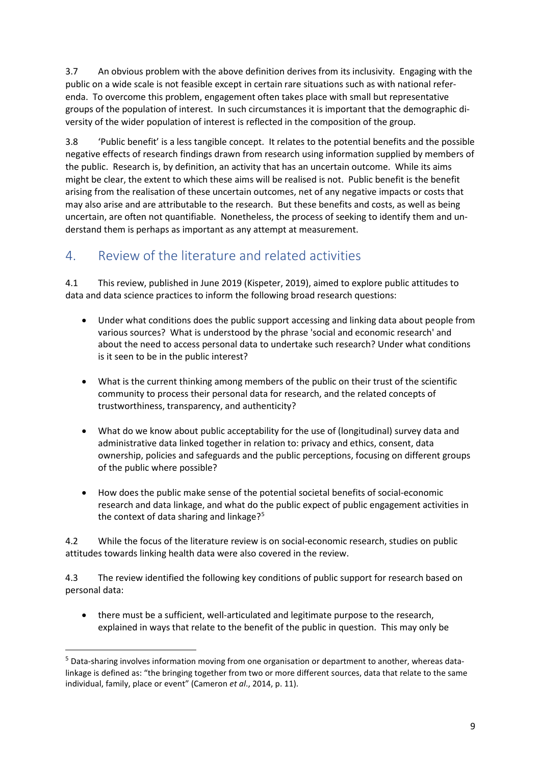3.7 An obvious problem with the above definition derives from its inclusivity. Engaging with the public on a wide scale is not feasible except in certain rare situations such as with national referenda. To overcome this problem, engagement often takes place with small but representative groups of the population of interest. In such circumstances it is important that the demographic diversity of the wider population of interest is reflected in the composition of the group.

3.8 'Public benefit' is a less tangible concept. It relates to the potential benefits and the possible negative effects of research findings drawn from research using information supplied by members of the public. Research is, by definition, an activity that has an uncertain outcome. While its aims might be clear, the extent to which these aims will be realised is not. Public benefit is the benefit arising from the realisation of these uncertain outcomes, net of any negative impacts or costs that may also arise and are attributable to the research. But these benefits and costs, as well as being uncertain, are often not quantifiable. Nonetheless, the process of seeking to identify them and understand them is perhaps as important as any attempt at measurement.

### <span id="page-8-0"></span>4. Review of the literature and related activities

4.1 This review, published in June 2019 (Kispeter, 2019), aimed to explore public attitudes to data and data science practices to inform the following broad research questions:

- Under what conditions does the public support accessing and linking data about people from various sources? What is understood by the phrase 'social and economic research' and about the need to access personal data to undertake such research? Under what conditions is it seen to be in the public interest?
- What is the current thinking among members of the public on their trust of the scientific community to process their personal data for research, and the related concepts of trustworthiness, transparency, and authenticity?
- What do we know about public acceptability for the use of (longitudinal) survey data and administrative data linked together in relation to: privacy and ethics, consent, data ownership, policies and safeguards and the public perceptions, focusing on different groups of the public where possible?
- How does the public make sense of the potential societal benefits of social-economic research and data linkage, and what do the public expect of public engagement activities in the context of data sharing and linkage?<sup>[5](#page-8-1)</sup>

4.2 While the focus of the literature review is on social-economic research, studies on public attitudes towards linking health data were also covered in the review.

4.3 The review identified the following key conditions of public support for research based on personal data:

• there must be a sufficient, well-articulated and legitimate purpose to the research, explained in ways that relate to the benefit of the public in question. This may only be

<span id="page-8-1"></span><sup>5</sup> Data-sharing involves information moving from one organisation or department to another, whereas datalinkage is defined as: "the bringing together from two or more different sources, data that relate to the same individual, family, place or event" (Cameron *et al*., 2014, p. 11).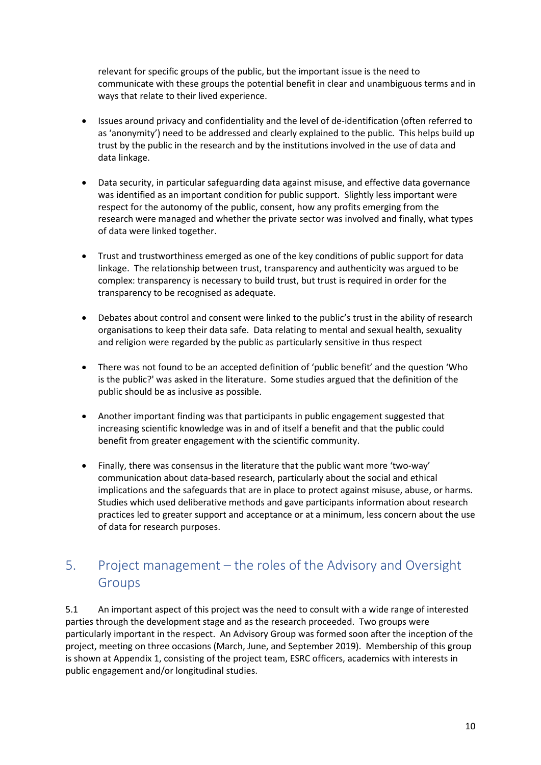relevant for specific groups of the public, but the important issue is the need to communicate with these groups the potential benefit in clear and unambiguous terms and in ways that relate to their lived experience.

- Issues around privacy and confidentiality and the level of de-identification (often referred to as 'anonymity') need to be addressed and clearly explained to the public. This helps build up trust by the public in the research and by the institutions involved in the use of data and data linkage.
- Data security, in particular safeguarding data against misuse, and effective data governance was identified as an important condition for public support. Slightly less important were respect for the autonomy of the public, consent, how any profits emerging from the research were managed and whether the private sector was involved and finally, what types of data were linked together.
- Trust and trustworthiness emerged as one of the key conditions of public support for data linkage. The relationship between trust, transparency and authenticity was argued to be complex: transparency is necessary to build trust, but trust is required in order for the transparency to be recognised as adequate.
- Debates about control and consent were linked to the public's trust in the ability of research organisations to keep their data safe. Data relating to mental and sexual health, sexuality and religion were regarded by the public as particularly sensitive in thus respect
- There was not found to be an accepted definition of 'public benefit' and the question 'Who is the public?' was asked in the literature. Some studies argued that the definition of the public should be as inclusive as possible.
- Another important finding was that participants in public engagement suggested that increasing scientific knowledge was in and of itself a benefit and that the public could benefit from greater engagement with the scientific community.
- Finally, there was consensus in the literature that the public want more 'two-way' communication about data-based research, particularly about the social and ethical implications and the safeguards that are in place to protect against misuse, abuse, or harms. Studies which used deliberative methods and gave participants information about research practices led to greater support and acceptance or at a minimum, less concern about the use of data for research purposes.

# <span id="page-9-0"></span>5. Project management – the roles of the Advisory and Oversight **Groups**

5.1 An important aspect of this project was the need to consult with a wide range of interested parties through the development stage and as the research proceeded. Two groups were particularly important in the respect. An Advisory Group was formed soon after the inception of the project, meeting on three occasions (March, June, and September 2019). Membership of this group is shown at Appendix 1, consisting of the project team, ESRC officers, academics with interests in public engagement and/or longitudinal studies.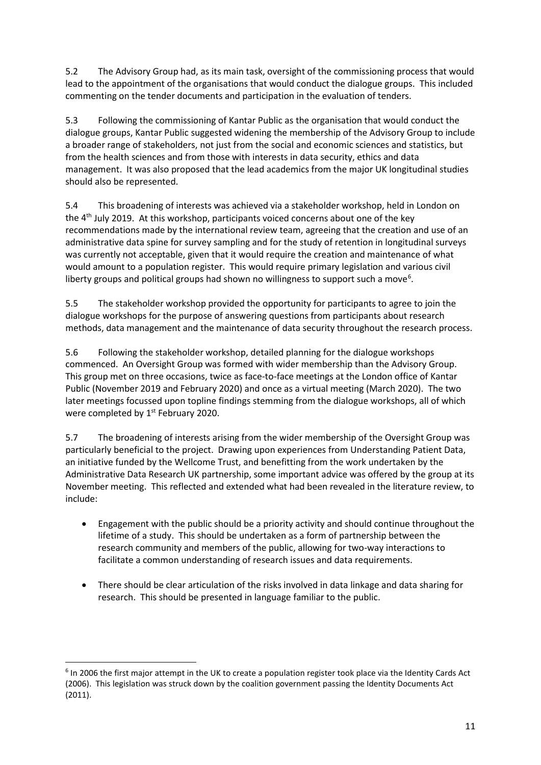5.2 The Advisory Group had, as its main task, oversight of the commissioning process that would lead to the appointment of the organisations that would conduct the dialogue groups. This included commenting on the tender documents and participation in the evaluation of tenders.

5.3 Following the commissioning of Kantar Public as the organisation that would conduct the dialogue groups, Kantar Public suggested widening the membership of the Advisory Group to include a broader range of stakeholders, not just from the social and economic sciences and statistics, but from the health sciences and from those with interests in data security, ethics and data management. It was also proposed that the lead academics from the major UK longitudinal studies should also be represented.

5.4 This broadening of interests was achieved via a stakeholder workshop, held in London on the  $4<sup>th</sup>$  July 2019. At this workshop, participants voiced concerns about one of the key recommendations made by the international review team, agreeing that the creation and use of an administrative data spine for survey sampling and for the study of retention in longitudinal surveys was currently not acceptable, given that it would require the creation and maintenance of what would amount to a population register. This would require primary legislation and various civil liberty groups and political groups had shown no willingness to support such a move<sup>[6](#page-10-0)</sup>.

5.5 The stakeholder workshop provided the opportunity for participants to agree to join the dialogue workshops for the purpose of answering questions from participants about research methods, data management and the maintenance of data security throughout the research process.

5.6 Following the stakeholder workshop, detailed planning for the dialogue workshops commenced. An Oversight Group was formed with wider membership than the Advisory Group. This group met on three occasions, twice as face-to-face meetings at the London office of Kantar Public (November 2019 and February 2020) and once as a virtual meeting (March 2020). The two later meetings focussed upon topline findings stemming from the dialogue workshops, all of which were completed by 1<sup>st</sup> February 2020.

5.7 The broadening of interests arising from the wider membership of the Oversight Group was particularly beneficial to the project. Drawing upon experiences from Understanding Patient Data, an initiative funded by the Wellcome Trust, and benefitting from the work undertaken by the Administrative Data Research UK partnership, some important advice was offered by the group at its November meeting. This reflected and extended what had been revealed in the literature review, to include:

- Engagement with the public should be a priority activity and should continue throughout the lifetime of a study. This should be undertaken as a form of partnership between the research community and members of the public, allowing for two-way interactions to facilitate a common understanding of research issues and data requirements.
- There should be clear articulation of the risks involved in data linkage and data sharing for research. This should be presented in language familiar to the public.

<span id="page-10-0"></span><sup>&</sup>lt;sup>6</sup> In 2006 the first major attempt in the UK to create a population register took place via the Identity Cards Act (2006). This legislation was struck down by the coalition government passing the Identity Documents Act (2011).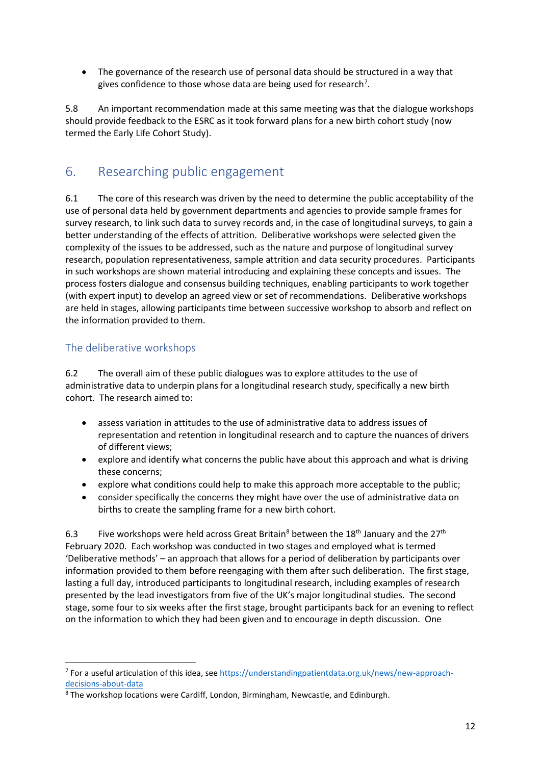• The governance of the research use of personal data should be structured in a way that gives confidence to those whose data are being used for research<sup>[7](#page-11-2)</sup>.

5.8 An important recommendation made at this same meeting was that the dialogue workshops should provide feedback to the ESRC as it took forward plans for a new birth cohort study (now termed the Early Life Cohort Study).

### <span id="page-11-0"></span>6. Researching public engagement

6.1 The core of this research was driven by the need to determine the public acceptability of the use of personal data held by government departments and agencies to provide sample frames for survey research, to link such data to survey records and, in the case of longitudinal surveys, to gain a better understanding of the effects of attrition. Deliberative workshops were selected given the complexity of the issues to be addressed, such as the nature and purpose of longitudinal survey research, population representativeness, sample attrition and data security procedures. Participants in such workshops are shown material introducing and explaining these concepts and issues. The process fosters dialogue and consensus building techniques, enabling participants to work together (with expert input) to develop an agreed view or set of recommendations. Deliberative workshops are held in stages, allowing participants time between successive workshop to absorb and reflect on the information provided to them.

#### <span id="page-11-1"></span>The deliberative workshops

6.2 The overall aim of these public dialogues was to explore attitudes to the use of administrative data to underpin plans for a longitudinal research study, specifically a new birth cohort. The research aimed to:

- assess variation in attitudes to the use of administrative data to address issues of representation and retention in longitudinal research and to capture the nuances of drivers of different views;
- explore and identify what concerns the public have about this approach and what is driving these concerns;
- explore what conditions could help to make this approach more acceptable to the public;
- consider specifically the concerns they might have over the use of administrative data on births to create the sampling frame for a new birth cohort.

6.3 Five workshops were held across Great Britain<sup>[8](#page-11-3)</sup> between the  $18<sup>th</sup>$  January and the  $27<sup>th</sup>$ February 2020. Each workshop was conducted in two stages and employed what is termed 'Deliberative methods' – an approach that allows for a period of deliberation by participants over information provided to them before reengaging with them after such deliberation. The first stage, lasting a full day, introduced participants to longitudinal research, including examples of research presented by the lead investigators from five of the UK's major longitudinal studies. The second stage, some four to six weeks after the first stage, brought participants back for an evening to reflect on the information to which they had been given and to encourage in depth discussion. One

<span id="page-11-2"></span><sup>7</sup> For a useful articulation of this idea, see [https://understandingpatientdata.org.uk/news/new-approach](https://understandingpatientdata.org.uk/news/new-approach-decisions-about-data)[decisions-about-data](https://understandingpatientdata.org.uk/news/new-approach-decisions-about-data)

<span id="page-11-3"></span><sup>8</sup> The workshop locations were Cardiff, London, Birmingham, Newcastle, and Edinburgh.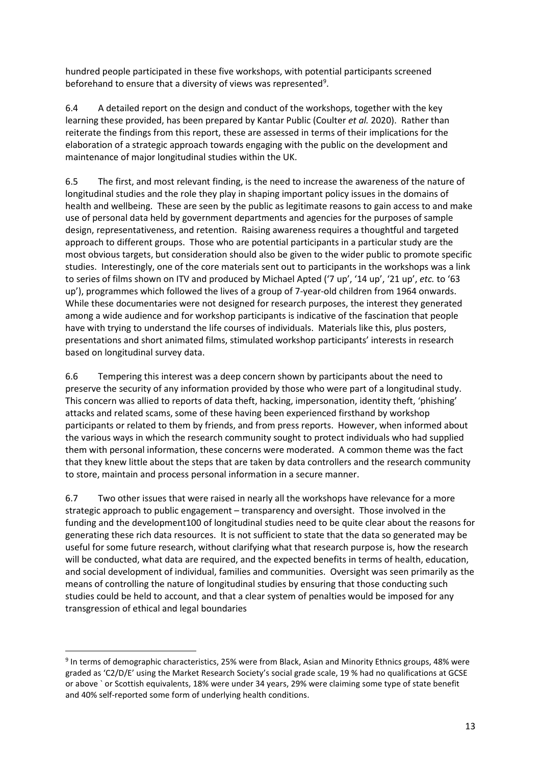hundred people participated in these five workshops, with potential participants screened beforehand to ensure that a diversity of views was represented<sup>[9](#page-12-0)</sup>.

6.4 A detailed report on the design and conduct of the workshops, together with the key learning these provided, has been prepared by Kantar Public (Coulter *et al.* 2020). Rather than reiterate the findings from this report, these are assessed in terms of their implications for the elaboration of a strategic approach towards engaging with the public on the development and maintenance of major longitudinal studies within the UK.

6.5 The first, and most relevant finding, is the need to increase the awareness of the nature of longitudinal studies and the role they play in shaping important policy issues in the domains of health and wellbeing. These are seen by the public as legitimate reasons to gain access to and make use of personal data held by government departments and agencies for the purposes of sample design, representativeness, and retention. Raising awareness requires a thoughtful and targeted approach to different groups. Those who are potential participants in a particular study are the most obvious targets, but consideration should also be given to the wider public to promote specific studies. Interestingly, one of the core materials sent out to participants in the workshops was a link to series of films shown on ITV and produced by Michael Apted ('7 up', '14 up', '21 up', *etc.* to '63 up'), programmes which followed the lives of a group of 7-year-old children from 1964 onwards. While these documentaries were not designed for research purposes, the interest they generated among a wide audience and for workshop participants is indicative of the fascination that people have with trying to understand the life courses of individuals. Materials like this, plus posters, presentations and short animated films, stimulated workshop participants' interests in research based on longitudinal survey data.

6.6 Tempering this interest was a deep concern shown by participants about the need to preserve the security of any information provided by those who were part of a longitudinal study. This concern was allied to reports of data theft, hacking, impersonation, identity theft, 'phishing' attacks and related scams, some of these having been experienced firsthand by workshop participants or related to them by friends, and from press reports. However, when informed about the various ways in which the research community sought to protect individuals who had supplied them with personal information, these concerns were moderated. A common theme was the fact that they knew little about the steps that are taken by data controllers and the research community to store, maintain and process personal information in a secure manner.

6.7 Two other issues that were raised in nearly all the workshops have relevance for a more strategic approach to public engagement – transparency and oversight. Those involved in the funding and the development100 of longitudinal studies need to be quite clear about the reasons for generating these rich data resources. It is not sufficient to state that the data so generated may be useful for some future research, without clarifying what that research purpose is, how the research will be conducted, what data are required, and the expected benefits in terms of health, education, and social development of individual, families and communities. Oversight was seen primarily as the means of controlling the nature of longitudinal studies by ensuring that those conducting such studies could be held to account, and that a clear system of penalties would be imposed for any transgression of ethical and legal boundaries

<span id="page-12-0"></span><sup>&</sup>lt;sup>9</sup> In terms of demographic characteristics, 25% were from Black, Asian and Minority Ethnics groups, 48% were graded as 'C2/D/E' using the Market Research Society's social grade scale, 19 % had no qualifications at GCSE or above ` or Scottish equivalents, 18% were under 34 years, 29% were claiming some type of state benefit and 40% self-reported some form of underlying health conditions.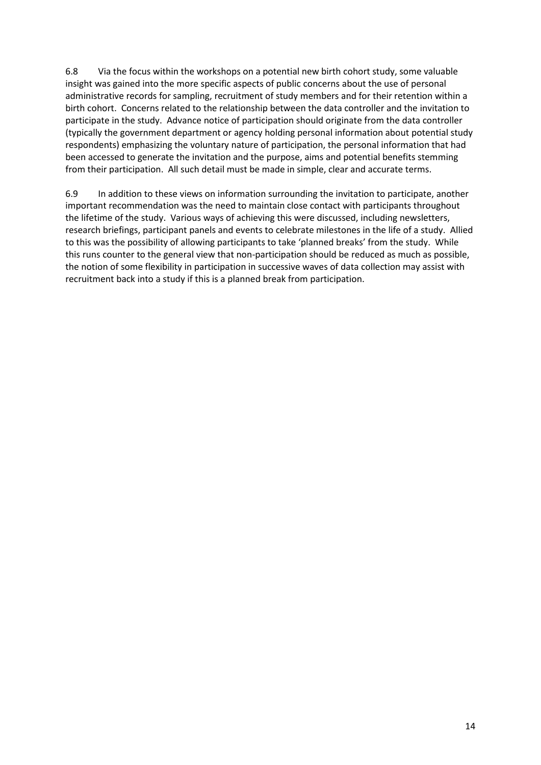6.8 Via the focus within the workshops on a potential new birth cohort study, some valuable insight was gained into the more specific aspects of public concerns about the use of personal administrative records for sampling, recruitment of study members and for their retention within a birth cohort. Concerns related to the relationship between the data controller and the invitation to participate in the study. Advance notice of participation should originate from the data controller (typically the government department or agency holding personal information about potential study respondents) emphasizing the voluntary nature of participation, the personal information that had been accessed to generate the invitation and the purpose, aims and potential benefits stemming from their participation. All such detail must be made in simple, clear and accurate terms.

6.9 In addition to these views on information surrounding the invitation to participate, another important recommendation was the need to maintain close contact with participants throughout the lifetime of the study. Various ways of achieving this were discussed, including newsletters, research briefings, participant panels and events to celebrate milestones in the life of a study. Allied to this was the possibility of allowing participants to take 'planned breaks' from the study. While this runs counter to the general view that non-participation should be reduced as much as possible, the notion of some flexibility in participation in successive waves of data collection may assist with recruitment back into a study if this is a planned break from participation.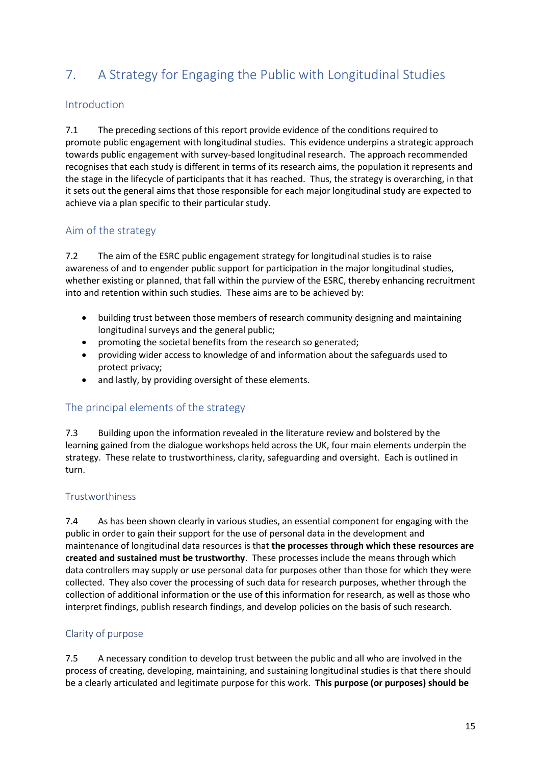# <span id="page-14-0"></span>7. A Strategy for Engaging the Public with Longitudinal Studies

#### <span id="page-14-1"></span>Introduction

7.1 The preceding sections of this report provide evidence of the conditions required to promote public engagement with longitudinal studies. This evidence underpins a strategic approach towards public engagement with survey-based longitudinal research. The approach recommended recognises that each study is different in terms of its research aims, the population it represents and the stage in the lifecycle of participants that it has reached. Thus, the strategy is overarching, in that it sets out the general aims that those responsible for each major longitudinal study are expected to achieve via a plan specific to their particular study.

#### <span id="page-14-2"></span>Aim of the strategy

7.2 The aim of the ESRC public engagement strategy for longitudinal studies is to raise awareness of and to engender public support for participation in the major longitudinal studies, whether existing or planned, that fall within the purview of the ESRC, thereby enhancing recruitment into and retention within such studies. These aims are to be achieved by:

- building trust between those members of research community designing and maintaining longitudinal surveys and the general public;
- promoting the societal benefits from the research so generated;
- providing wider access to knowledge of and information about the safeguards used to protect privacy;
- and lastly, by providing oversight of these elements.

#### <span id="page-14-3"></span>The principal elements of the strategy

7.3 Building upon the information revealed in the literature review and bolstered by the learning gained from the dialogue workshops held across the UK, four main elements underpin the strategy. These relate to trustworthiness, clarity, safeguarding and oversight. Each is outlined in turn.

#### <span id="page-14-4"></span>Trustworthiness

7.4 As has been shown clearly in various studies, an essential component for engaging with the public in order to gain their support for the use of personal data in the development and maintenance of longitudinal data resources is that **the processes through which these resources are created and sustained must be trustworthy**. These processes include the means through which data controllers may supply or use personal data for purposes other than those for which they were collected. They also cover the processing of such data for research purposes, whether through the collection of additional information or the use of this information for research, as well as those who interpret findings, publish research findings, and develop policies on the basis of such research.

#### <span id="page-14-5"></span>Clarity of purpose

7.5 A necessary condition to develop trust between the public and all who are involved in the process of creating, developing, maintaining, and sustaining longitudinal studies is that there should be a clearly articulated and legitimate purpose for this work. **This purpose (or purposes) should be**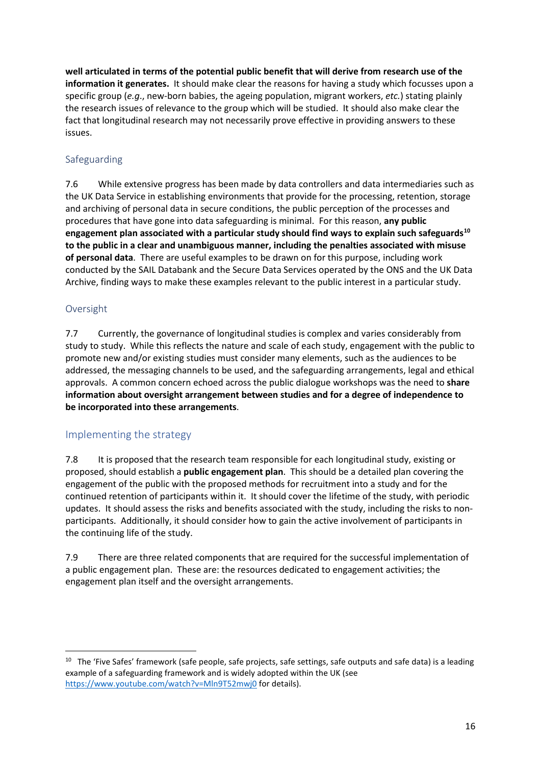**well articulated in terms of the potential public benefit that will derive from research use of the information it generates.** It should make clear the reasons for having a study which focusses upon a specific group (*e.g*., new-born babies, the ageing population, migrant workers, *etc.*) stating plainly the research issues of relevance to the group which will be studied. It should also make clear the fact that longitudinal research may not necessarily prove effective in providing answers to these issues.

#### <span id="page-15-0"></span>Safeguarding

7.6 While extensive progress has been made by data controllers and data intermediaries such as the UK Data Service in establishing environments that provide for the processing, retention, storage and archiving of personal data in secure conditions, the public perception of the processes and procedures that have gone into data safeguarding is minimal. For this reason, **any public engagement plan associated with a particular study should find ways to explain such safeguards[10](#page-15-3) to the public in a clear and unambiguous manner, including the penalties associated with misuse of personal data**. There are useful examples to be drawn on for this purpose, including work conducted by the SAIL Databank and the Secure Data Services operated by the ONS and the UK Data Archive, finding ways to make these examples relevant to the public interest in a particular study.

#### <span id="page-15-1"></span>Oversight

7.7 Currently, the governance of longitudinal studies is complex and varies considerably from study to study. While this reflects the nature and scale of each study, engagement with the public to promote new and/or existing studies must consider many elements, such as the audiences to be addressed, the messaging channels to be used, and the safeguarding arrangements, legal and ethical approvals. A common concern echoed across the public dialogue workshops was the need to **share information about oversight arrangement between studies and for a degree of independence to be incorporated into these arrangements**.

#### <span id="page-15-2"></span>Implementing the strategy

7.8 It is proposed that the research team responsible for each longitudinal study, existing or proposed, should establish a **public engagement plan**. This should be a detailed plan covering the engagement of the public with the proposed methods for recruitment into a study and for the continued retention of participants within it. It should cover the lifetime of the study, with periodic updates. It should assess the risks and benefits associated with the study, including the risks to nonparticipants. Additionally, it should consider how to gain the active involvement of participants in the continuing life of the study.

7.9 There are three related components that are required for the successful implementation of a public engagement plan. These are: the resources dedicated to engagement activities; the engagement plan itself and the oversight arrangements.

<span id="page-15-3"></span><sup>&</sup>lt;sup>10</sup> The 'Five Safes' framework (safe people, safe projects, safe settings, safe outputs and safe data) is a leading example of a safeguarding framework and is widely adopted within the UK (see <https://www.youtube.com/watch?v=Mln9T52mwj0> for details).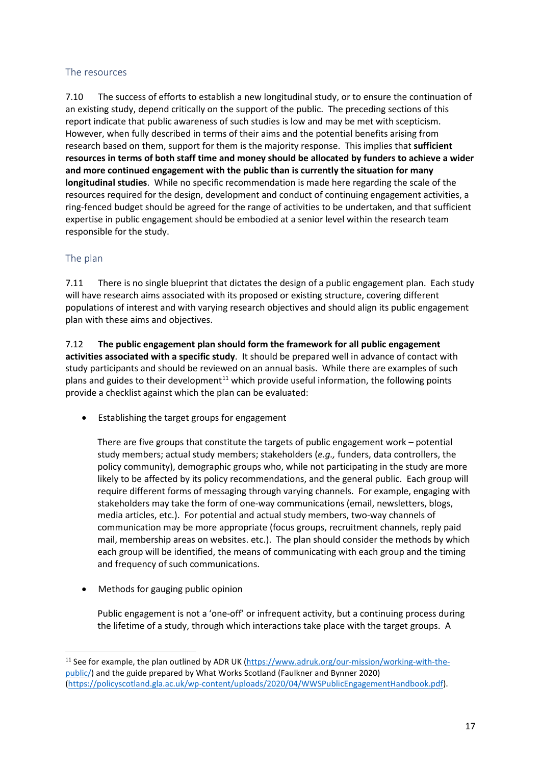#### <span id="page-16-0"></span>The resources

7.10 The success of efforts to establish a new longitudinal study, or to ensure the continuation of an existing study, depend critically on the support of the public. The preceding sections of this report indicate that public awareness of such studies is low and may be met with scepticism. However, when fully described in terms of their aims and the potential benefits arising from research based on them, support for them is the majority response. This implies that **sufficient resources in terms of both staff time and money should be allocated by funders to achieve a wider and more continued engagement with the public than is currently the situation for many longitudinal studies**. While no specific recommendation is made here regarding the scale of the resources required for the design, development and conduct of continuing engagement activities, a ring-fenced budget should be agreed for the range of activities to be undertaken, and that sufficient expertise in public engagement should be embodied at a senior level within the research team responsible for the study.

#### <span id="page-16-1"></span>The plan

7.11 There is no single blueprint that dictates the design of a public engagement plan. Each study will have research aims associated with its proposed or existing structure, covering different populations of interest and with varying research objectives and should align its public engagement plan with these aims and objectives.

7.12 **The public engagement plan should form the framework for all public engagement activities associated with a specific study**. It should be prepared well in advance of contact with study participants and should be reviewed on an annual basis. While there are examples of such plans and guides to their development<sup>[11](#page-16-2)</sup> which provide useful information, the following points provide a checklist against which the plan can be evaluated:

• Establishing the target groups for engagement

There are five groups that constitute the targets of public engagement work – potential study members; actual study members; stakeholders (*e.g.,* funders, data controllers, the policy community), demographic groups who, while not participating in the study are more likely to be affected by its policy recommendations, and the general public. Each group will require different forms of messaging through varying channels. For example, engaging with stakeholders may take the form of one-way communications (email, newsletters, blogs, media articles, etc.). For potential and actual study members, two-way channels of communication may be more appropriate (focus groups, recruitment channels, reply paid mail, membership areas on websites. etc.). The plan should consider the methods by which each group will be identified, the means of communicating with each group and the timing and frequency of such communications.

• Methods for gauging public opinion

Public engagement is not a 'one-off' or infrequent activity, but a continuing process during the lifetime of a study, through which interactions take place with the target groups. A

<span id="page-16-2"></span><sup>&</sup>lt;sup>11</sup> See for example, the plan outlined by ADR UK [\(https://www.adruk.org/our-mission/working-with-the](https://www.adruk.org/our-mission/working-with-the-public/)[public/\)](https://www.adruk.org/our-mission/working-with-the-public/) and the guide prepared by What Works Scotland (Faulkner and Bynner 2020) [\(https://policyscotland.gla.ac.uk/wp-content/uploads/2020/04/WWSPublicEngagementHandbook.pdf\)](https://policyscotland.gla.ac.uk/wp-content/uploads/2020/04/WWSPublicEngagementHandbook.pdf).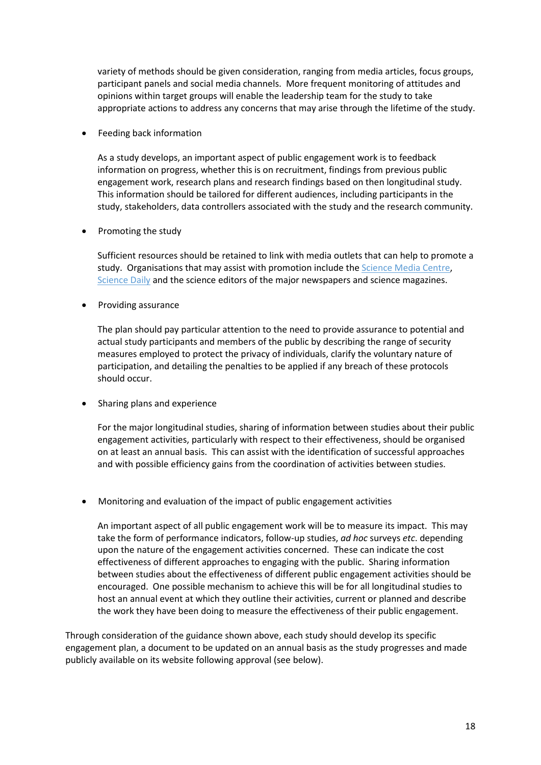variety of methods should be given consideration, ranging from media articles, focus groups, participant panels and social media channels. More frequent monitoring of attitudes and opinions within target groups will enable the leadership team for the study to take appropriate actions to address any concerns that may arise through the lifetime of the study.

• Feeding back information

As a study develops, an important aspect of public engagement work is to feedback information on progress, whether this is on recruitment, findings from previous public engagement work, research plans and research findings based on then longitudinal study. This information should be tailored for different audiences, including participants in the study, stakeholders, data controllers associated with the study and the research community.

• Promoting the study

Sufficient resources should be retained to link with media outlets that can help to promote a study. Organisations that may assist with promotion include the [Science Media Centre,](https://www.sciencemediacentre.org/) [Science Daily](https://www.sciencedaily.com/) and the science editors of the major newspapers and science magazines.

• Providing assurance

The plan should pay particular attention to the need to provide assurance to potential and actual study participants and members of the public by describing the range of security measures employed to protect the privacy of individuals, clarify the voluntary nature of participation, and detailing the penalties to be applied if any breach of these protocols should occur.

• Sharing plans and experience

For the major longitudinal studies, sharing of information between studies about their public engagement activities, particularly with respect to their effectiveness, should be organised on at least an annual basis. This can assist with the identification of successful approaches and with possible efficiency gains from the coordination of activities between studies.

• Monitoring and evaluation of the impact of public engagement activities

An important aspect of all public engagement work will be to measure its impact. This may take the form of performance indicators, follow-up studies, *ad hoc* surveys *etc*. depending upon the nature of the engagement activities concerned. These can indicate the cost effectiveness of different approaches to engaging with the public. Sharing information between studies about the effectiveness of different public engagement activities should be encouraged. One possible mechanism to achieve this will be for all longitudinal studies to host an annual event at which they outline their activities, current or planned and describe the work they have been doing to measure the effectiveness of their public engagement.

Through consideration of the guidance shown above, each study should develop its specific engagement plan, a document to be updated on an annual basis as the study progresses and made publicly available on its website following approval (see below).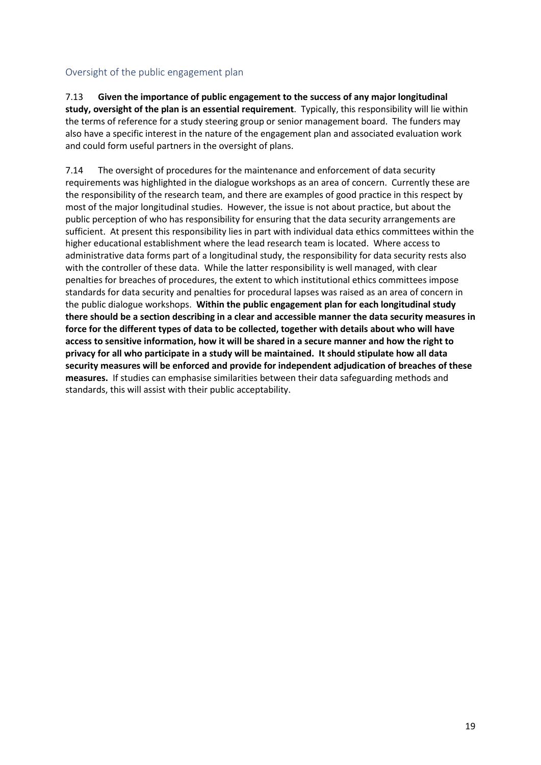#### <span id="page-18-0"></span>Oversight of the public engagement plan

7.13 **Given the importance of public engagement to the success of any major longitudinal study, oversight of the plan is an essential requirement**. Typically, this responsibility will lie within the terms of reference for a study steering group or senior management board. The funders may also have a specific interest in the nature of the engagement plan and associated evaluation work and could form useful partners in the oversight of plans.

7.14 The oversight of procedures for the maintenance and enforcement of data security requirements was highlighted in the dialogue workshops as an area of concern. Currently these are the responsibility of the research team, and there are examples of good practice in this respect by most of the major longitudinal studies. However, the issue is not about practice, but about the public perception of who has responsibility for ensuring that the data security arrangements are sufficient. At present this responsibility lies in part with individual data ethics committees within the higher educational establishment where the lead research team is located. Where access to administrative data forms part of a longitudinal study, the responsibility for data security rests also with the controller of these data. While the latter responsibility is well managed, with clear penalties for breaches of procedures, the extent to which institutional ethics committees impose standards for data security and penalties for procedural lapses was raised as an area of concern in the public dialogue workshops. **Within the public engagement plan for each longitudinal study there should be a section describing in a clear and accessible manner the data security measures in force for the different types of data to be collected, together with details about who will have access to sensitive information, how it will be shared in a secure manner and how the right to privacy for all who participate in a study will be maintained. It should stipulate how all data security measures will be enforced and provide for independent adjudication of breaches of these measures.** If studies can emphasise similarities between their data safeguarding methods and standards, this will assist with their public acceptability.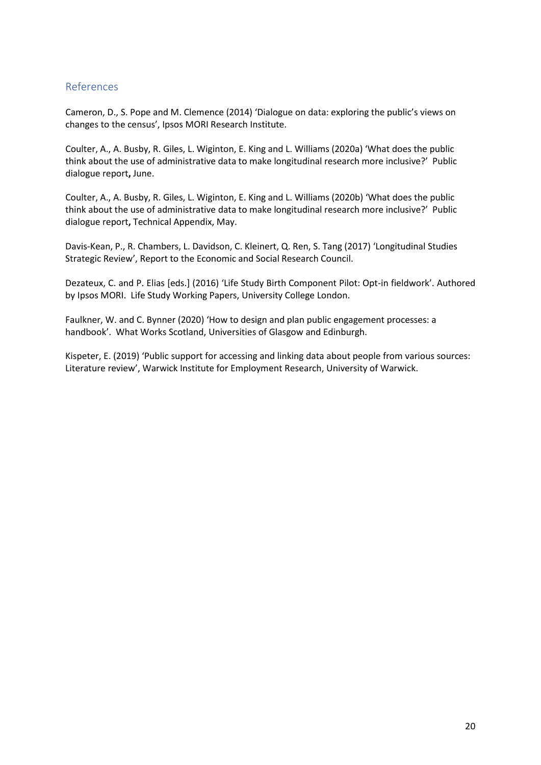#### <span id="page-19-0"></span>References

Cameron, D., S. Pope and M. Clemence (2014) 'Dialogue on data: exploring the public's views on changes to the census', Ipsos MORI Research Institute.

Coulter, A., A. Busby, R. Giles, L. Wiginton, E. King and L. Williams (2020a) 'What does the public think about the use of administrative data to make longitudinal research more inclusive?'Public dialogue report**,** June.

Coulter, A., A. Busby, R. Giles, L. Wiginton, E. King and L. Williams (2020b) 'What does the public think about the use of administrative data to make longitudinal research more inclusive?'Public dialogue report**,** Technical Appendix, May.

Davis-Kean, P., R. Chambers, L. Davidson, C. Kleinert, Q. Ren, S. Tang (2017) 'Longitudinal Studies Strategic Review', Report to the Economic and Social Research Council.

Dezateux, C. and P. Elias [eds.] (2016) 'Life Study Birth Component Pilot: Opt-in fieldwork'. Authored by Ipsos MORI. Life Study Working Papers, University College London.

Faulkner, W. and C. Bynner (2020) 'How to design and plan public engagement processes: a handbook'. What Works Scotland, Universities of Glasgow and Edinburgh.

Kispeter, E. (2019) 'Public support for accessing and linking data about people from various sources: Literature review', Warwick Institute for Employment Research, University of Warwick.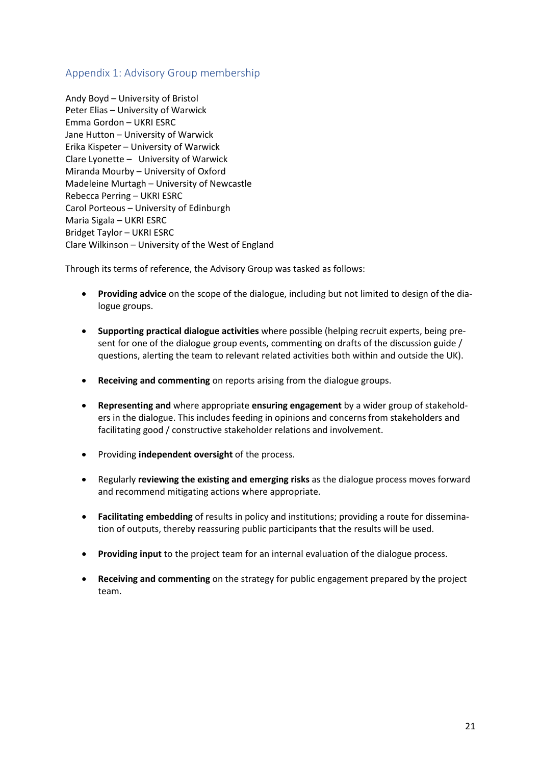#### <span id="page-20-0"></span>Appendix 1: Advisory Group membership

Andy Boyd – University of Bristol Peter Elias – University of Warwick Emma Gordon – UKRI ESRC Jane Hutton – University of Warwick Erika Kispeter – University of Warwick Clare Lyonette – University of Warwick Miranda Mourby – University of Oxford Madeleine Murtagh – University of Newcastle Rebecca Perring – UKRI ESRC Carol Porteous – University of Edinburgh Maria Sigala – UKRI ESRC Bridget Taylor – UKRI ESRC Clare Wilkinson – University of the West of England

Through its terms of reference, the Advisory Group was tasked as follows:

- **Providing advice** on the scope of the dialogue, including but not limited to design of the dialogue groups.
- **Supporting practical dialogue activities** where possible (helping recruit experts, being present for one of the dialogue group events, commenting on drafts of the discussion guide / questions, alerting the team to relevant related activities both within and outside the UK).
- **Receiving and commenting** on reports arising from the dialogue groups.
- **Representing and** where appropriate **ensuring engagement** by a wider group of stakeholders in the dialogue. This includes feeding in opinions and concerns from stakeholders and facilitating good / constructive stakeholder relations and involvement.
- Providing **independent oversight** of the process.
- Regularly **reviewing the existing and emerging risks** as the dialogue process moves forward and recommend mitigating actions where appropriate.
- **Facilitating embedding** of results in policy and institutions; providing a route for dissemination of outputs, thereby reassuring public participants that the results will be used.
- **Providing input** to the project team for an internal evaluation of the dialogue process.
- **Receiving and commenting** on the strategy for public engagement prepared by the project team.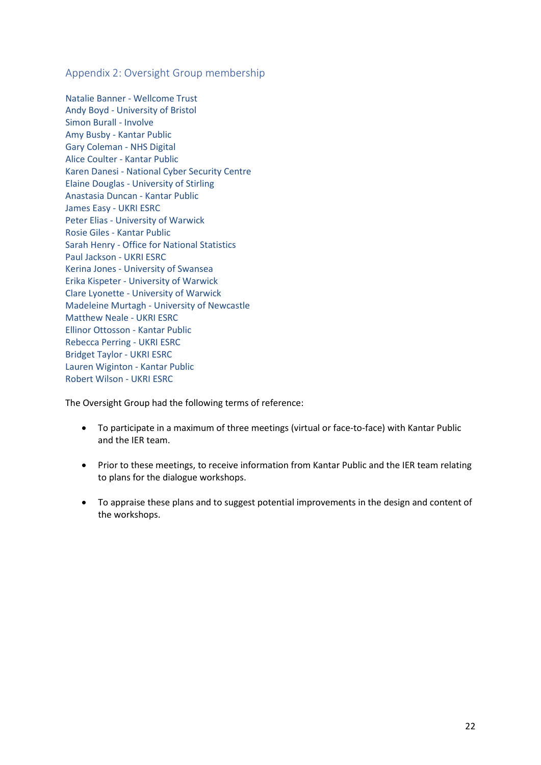<span id="page-21-0"></span>Appendix 2: Oversight Group membership

Natalie Banner - Wellcome Trust Andy Boyd - University of Bristol Simon Burall - Involve Amy Busby - Kantar Public Gary Coleman - NHS Digital Alice Coulter - Kantar Public Karen Danesi - National Cyber Security Centre Elaine Douglas - University of Stirling Anastasia Duncan - Kantar Public James Easy - UKRI ESRC Peter Elias - University of Warwick Rosie Giles - Kantar Public Sarah Henry - Office for National Statistics Paul Jackson - UKRI ESRC Kerina Jones - University of Swansea Erika Kispeter - University of Warwick Clare Lyonette - University of Warwick Madeleine Murtagh - University of Newcastle Matthew Neale - UKRI ESRC Ellinor Ottosson - Kantar Public Rebecca Perring - UKRI ESRC Bridget Taylor - UKRI ESRC Lauren Wiginton - Kantar Public Robert Wilson - UKRI ESRC

The Oversight Group had the following terms of reference:

- To participate in a maximum of three meetings (virtual or face-to-face) with Kantar Public and the IER team.
- Prior to these meetings, to receive information from Kantar Public and the IER team relating to plans for the dialogue workshops.
- To appraise these plans and to suggest potential improvements in the design and content of the workshops.